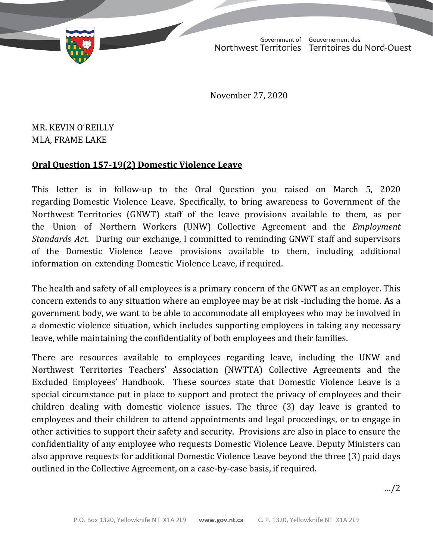TD 273-19(2) TABLED ON FEBRUARY 3, 2021

Government of Gouvernement des Northwest Territories Territoires du Nord-Ouest

November 27, 2020

## MR. KEVIN O'REILLY MLA, FRAME LAKE

## **Oral Question 157-19(2) Domestic Violence Leave**

This letter is in follow-up to the Oral Question you raised on March 5, 2020 regarding Domestic Violence Leave. Specifically, to bring awareness to Government of the Northwest Territories (GNWT) staff of the leave provisions available to them, as per the Union of Northern Workers (UNW) Collective Agreement and the *Employment Standards Act*. During our exchange, I committed to reminding GNWT staff and supervisors of the Domestic Violence Leave provisions available to them, including additional information on extending Domestic Violence Leave, if required.

The health and safety of all employees is a primary concern of the GNWT as an employer. This concern extends to any situation where an employee may be at risk -including the home. As a government body, we want to be able to accommodate all employees who may be involved in a domestic violence situation, which includes supporting employees in taking any necessary leave, while maintaining the confidentiality of both employees and their families.

There are resources available to employees regarding leave, including the UNW and Northwest Territories Teachers' Association (NWTTA) Collective Agreements and the Excluded Employees' Handbook. These sources state that Domestic Violence Leave is a special circumstance put in place to support and protect the privacy of employees and their children dealing with domestic violence issues. The three (3) day leave is granted to employees and their children to attend appointments and legal proceedings, or to engage in other activities to support their safety and security. Provisions are also in place to ensure the confidentiality of any employee who requests Domestic Violence Leave. Deputy Ministers can also approve requests for additional Domestic Violence Leave beyond the three (3) paid days outlined in the Collective Agreement, on a case-by-case basis, if required.

…/2